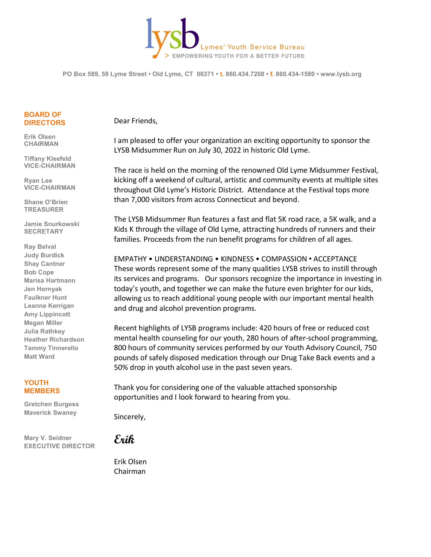

**PO Box 589, 59 Lyme Street • Old Lyme, CT 06371 • t. 860.434.7208 • f. 860.434-1580 • www.lysb.org**

#### **BOARD OF DIRECTORS**

**Erik Olsen CHAIRMAN**

**Tiffany Kleefeld VICE-CHAIRMAN**

**Ryan Lee VICE-CHAIRMAN**

**Shane O'Brien TREASURER**

**Jamie Snurkowski SECRETARY**

**Ray Belval Judy Burdick Shay Cantner Bob Cope Marisa Hartmann Jen Hornyak Faulkner Hunt Leanne Kerrigan Amy Lippincott Megan Miller Julia Rathkey Heather Richardson Tammy Tinnerello Matt Ward**

#### **YOUTH MEMBERS**

**Gretchen Burgess Maverick Swaney**

**Mary V. Seidner EXECUTIVE DIRECTOR** Dear Friends,

I am pleased to offer your organization an exciting opportunity to sponsor the LYSB Midsummer Run on July 30, 2022 in historic Old Lyme.

The race is held on the morning of the renowned Old Lyme Midsummer Festival, kicking off a weekend of cultural, artistic and community events at multiple sites throughout Old Lyme's Historic District. Attendance at the Festival tops more than 7,000 visitors from across Connecticut and beyond.

The LYSB Midsummer Run features a fast and flat 5K road race, a 5K walk, and a Kids K through the village of Old Lyme, attracting hundreds of runners and their families. Proceeds from the run benefit programs for children of all ages.

EMPATHY • UNDERSTANDING • KINDNESS • COMPASSION • ACCEPTANCE These words represent some of the many qualities LYSB strives to instill through its services and programs. Our sponsors recognize the importance in investing in today's youth, and together we can make the future even brighter for our kids, allowing us to reach additional young people with our important mental health and drug and alcohol prevention programs.

Recent highlights of LYSB programs include: 420 hours of free or reduced cost mental health counseling for our youth, 280 hours of after-school programming, 800 hours of community services performed by our Youth Advisory Council, 750 pounds of safely disposed medication through our Drug Take Back events and a 50% drop in youth alcohol use in the past seven years.

Thank you for considering one of the valuable attached sponsorship opportunities and I look forward to hearing from you.

Sincerely,

**Erik**

Erik Olsen Chairman